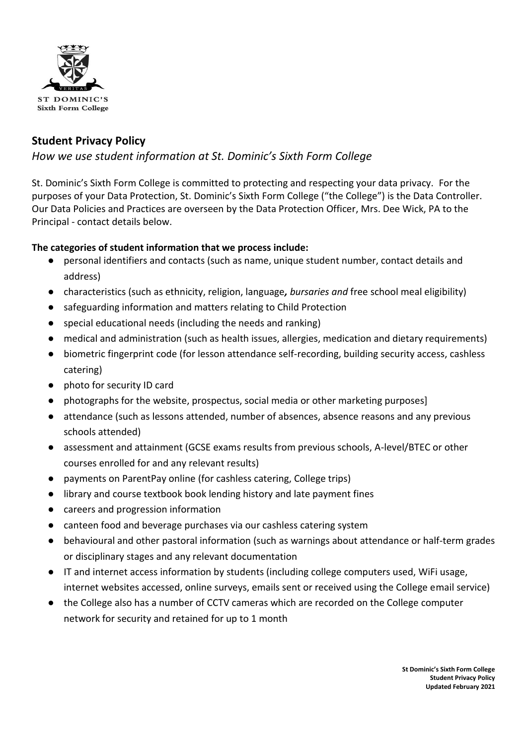

# **Student Privacy Policy**

# *How we use student information at St. Dominic's Sixth Form College*

St. Dominic's Sixth Form College is committed to protecting and respecting your data privacy. For the purposes of your Data Protection, St. Dominic's Sixth Form College ("the College") is the Data Controller. Our Data Policies and Practices are overseen by the Data Protection Officer, Mrs. Dee Wick, PA to the Principal - contact details below.

## **The categories of student information that we process include:**

- personal identifiers and contacts (such as name, unique student number, contact details and address)
- characteristics (such as ethnicity, religion, language*, bursaries and* free school meal eligibility)
- safeguarding information and matters relating to Child Protection
- special educational needs (including the needs and ranking)
- medical and administration (such as health issues, allergies, medication and dietary requirements)
- biometric fingerprint code (for lesson attendance self-recording, building security access, cashless catering)
- photo for security ID card
- photographs for the website, prospectus, social media or other marketing purposes]
- attendance (such as lessons attended, number of absences, absence reasons and any previous schools attended)
- assessment and attainment (GCSE exams results from previous schools, A-level/BTEC or other courses enrolled for and any relevant results)
- payments on ParentPay online (for cashless catering, College trips)
- library and course textbook book lending history and late payment fines
- careers and progression information
- canteen food and beverage purchases via our cashless catering system
- behavioural and other pastoral information (such as warnings about attendance or half-term grades or disciplinary stages and any relevant documentation
- IT and internet access information by students (including college computers used, WiFi usage, internet websites accessed, online surveys, emails sent or received using the College email service)
- the College also has a number of CCTV cameras which are recorded on the College computer network for security and retained for up to 1 month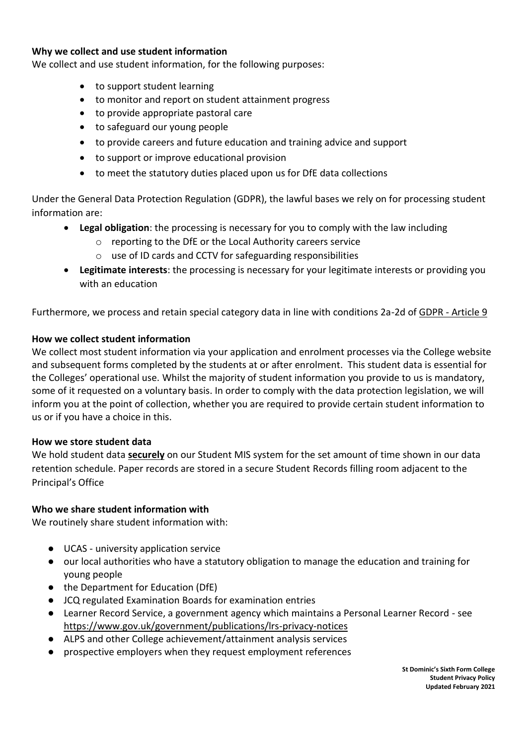#### **Why we collect and use student information**

We collect and use student information, for the following purposes:

- to support student learning
- to monitor and report on student attainment progress
- to provide appropriate pastoral care
- to safeguard our young people
- to provide careers and future education and training advice and support
- to support or improve educational provision
- to meet the statutory duties placed upon us for DfE data collections

Under the General Data Protection Regulation (GDPR), the lawful bases we rely on for processing student information are:

- **Legal obligation**: the processing is necessary for you to comply with the law including
	- o reporting to the DfE or the Local Authority careers service
	- use of ID cards and CCTV for safeguarding responsibilities
- **Legitimate interests**: the processing is necessary for your legitimate interests or providing you with an education

Furthermore, we process and retain special category data in line with conditions 2a-2d of GDPR - [Article 9](https://gdpr-info.eu/art-9-gdpr/)

#### **How we collect student information**

We collect most student information via your application and enrolment processes via the College website and subsequent forms completed by the students at or after enrolment. This student data is essential for the Colleges' operational use. Whilst the majority of student information you provide to us is mandatory, some of it requested on a voluntary basis. In order to comply with the data protection legislation, we will inform you at the point of collection, whether you are required to provide certain student information to us or if you have a choice in this.

#### **How we store student data**

We hold student data **securely** on our Student MIS system for the set amount of time shown in our data retention schedule. Paper records are stored in a secure Student Records filling room adjacent to the Principal's Office

#### **Who we share student information with**

We routinely share student information with:

- UCAS university application service
- our local authorities who have a statutory obligation to manage the education and training for young people
- the Department for Education (DfE)
- JCQ regulated Examination Boards for examination entries
- Learner Record Service, a government agency which maintains a Personal Learner Record see <https://www.gov.uk/government/publications/lrs-privacy-notices>
- ALPS and other College achievement/attainment analysis services
- prospective employers when they request employment references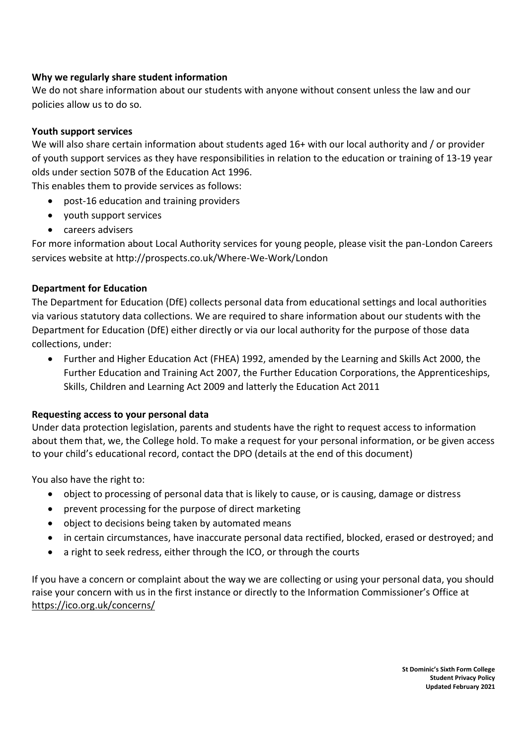## **Why we regularly share student information**

We do not share information about our students with anyone without consent unless the law and our policies allow us to do so.

## **Youth support services**

We will also share certain information about students aged 16+ with our local authority and / or provider of youth support services as they have responsibilities in relation to the education or training of 13-19 year olds under section 507B of the Education Act 1996.

This enables them to provide services as follows:

- post-16 education and training providers
- youth support services
- careers advisers

For more information about Local Authority services for young people, please visit the pan-London Careers services website at<http://prospects.co.uk/Where-We-Work/London>

### **Department for Education**

The Department for Education (DfE) collects personal data from educational settings and local authorities via various statutory data collections. We are required to share information about our students with the Department for Education (DfE) either directly or via our local authority for the purpose of those data collections, under:

• Further and Higher Education Act (FHEA) 1992, amended by the Learning and Skills Act 2000, the Further Education and Training Act 2007, the Further Education Corporations, the Apprenticeships, Skills, Children and Learning Act 2009 and latterly the Education Act 2011

### **Requesting access to your personal data**

Under data protection legislation, parents and students have the right to request access to information about them that, we, the College hold. To make a request for your personal information, or be given access to your child's educational record, contact the DPO (details at the end of this document)

You also have the right to:

- object to processing of personal data that is likely to cause, or is causing, damage or distress
- prevent processing for the purpose of direct marketing
- object to decisions being taken by automated means
- in certain circumstances, have inaccurate personal data rectified, blocked, erased or destroyed; and
- a right to seek redress, either through the ICO, or through the courts

If you have a concern or complaint about the way we are collecting or using your personal data, you should raise your concern with us in the first instance or directly to the Information Commissioner's Office at <https://ico.org.uk/concerns/>